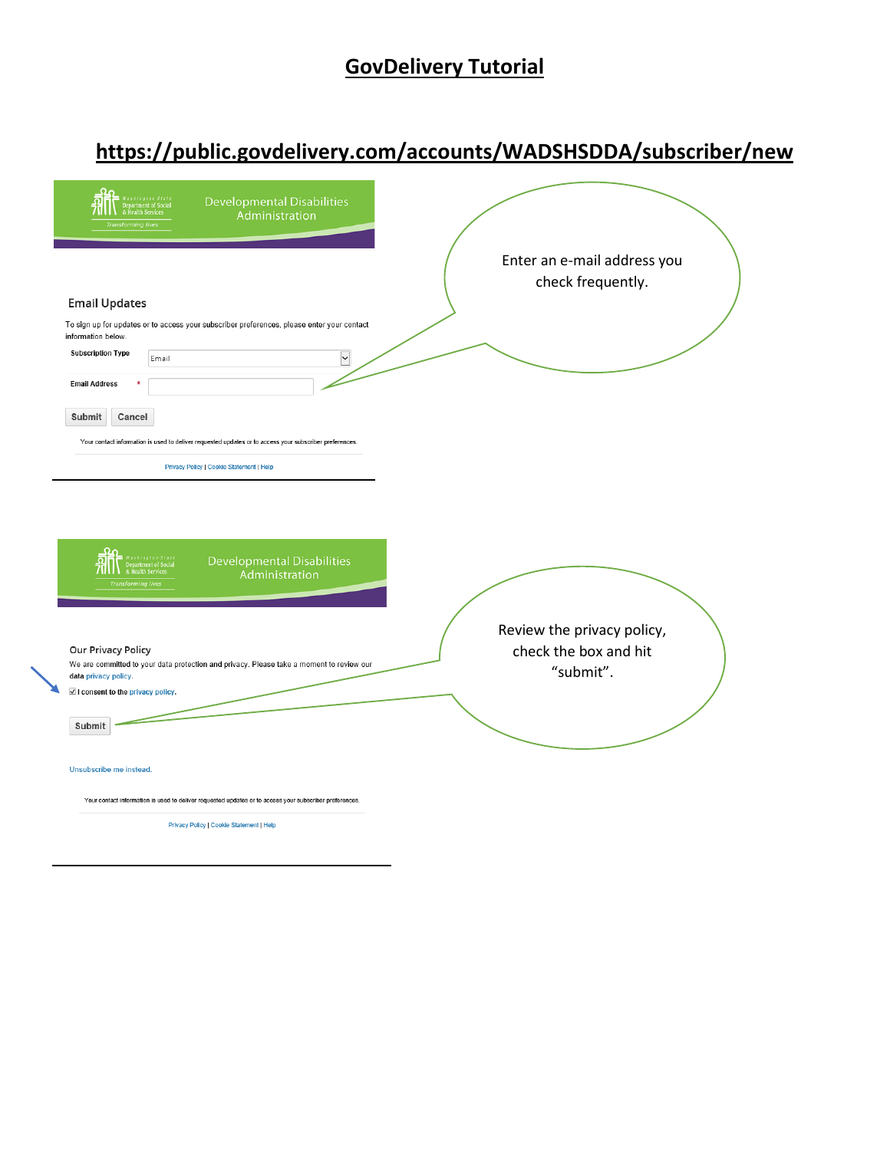## **GovDelivery Tutorial**

## **https://public.govdelivery.com/accounts/WADSHSDDA/subscriber/new**

| Washington State<br>Department of Social<br>& Health Services<br><b>Developmental Disabilities</b><br>Administration<br><b>Transforming lives</b>                                  |                                                                  |  |
|------------------------------------------------------------------------------------------------------------------------------------------------------------------------------------|------------------------------------------------------------------|--|
|                                                                                                                                                                                    | Enter an e-mail address you<br>check frequently.                 |  |
| <b>Email Updates</b><br>To sign up for updates or to access your subscriber preferences, please enter your contact<br>information below.<br><b>Subscription Type</b><br>⇂<br>Email |                                                                  |  |
| <b>Email Address</b>                                                                                                                                                               |                                                                  |  |
| <b>Submit</b><br>Cancel                                                                                                                                                            |                                                                  |  |
| Your contact information is used to deliver requested updates or to access your subscriber preferences.                                                                            |                                                                  |  |
| Privacy Policy   Cookie Statement   Help                                                                                                                                           |                                                                  |  |
|                                                                                                                                                                                    |                                                                  |  |
| <b>Developmental Disabilities</b><br>& Health Services<br>Administration<br><b>Transforming live:</b>                                                                              |                                                                  |  |
| <b>Our Privacy Policy</b><br>We are committed to your data protection and privacy. Please take a moment to review our<br>data privacy policy.<br>I consent to the privacy policy.  | Review the privacy policy,<br>check the box and hit<br>"submit". |  |
| Submit                                                                                                                                                                             |                                                                  |  |
| Unsubscribe me instead.                                                                                                                                                            |                                                                  |  |
| Your contact information is used to deliver requested updates or to access your subscriber preferences.                                                                            |                                                                  |  |
| Privacy Policy   Cookie Statement   Help                                                                                                                                           |                                                                  |  |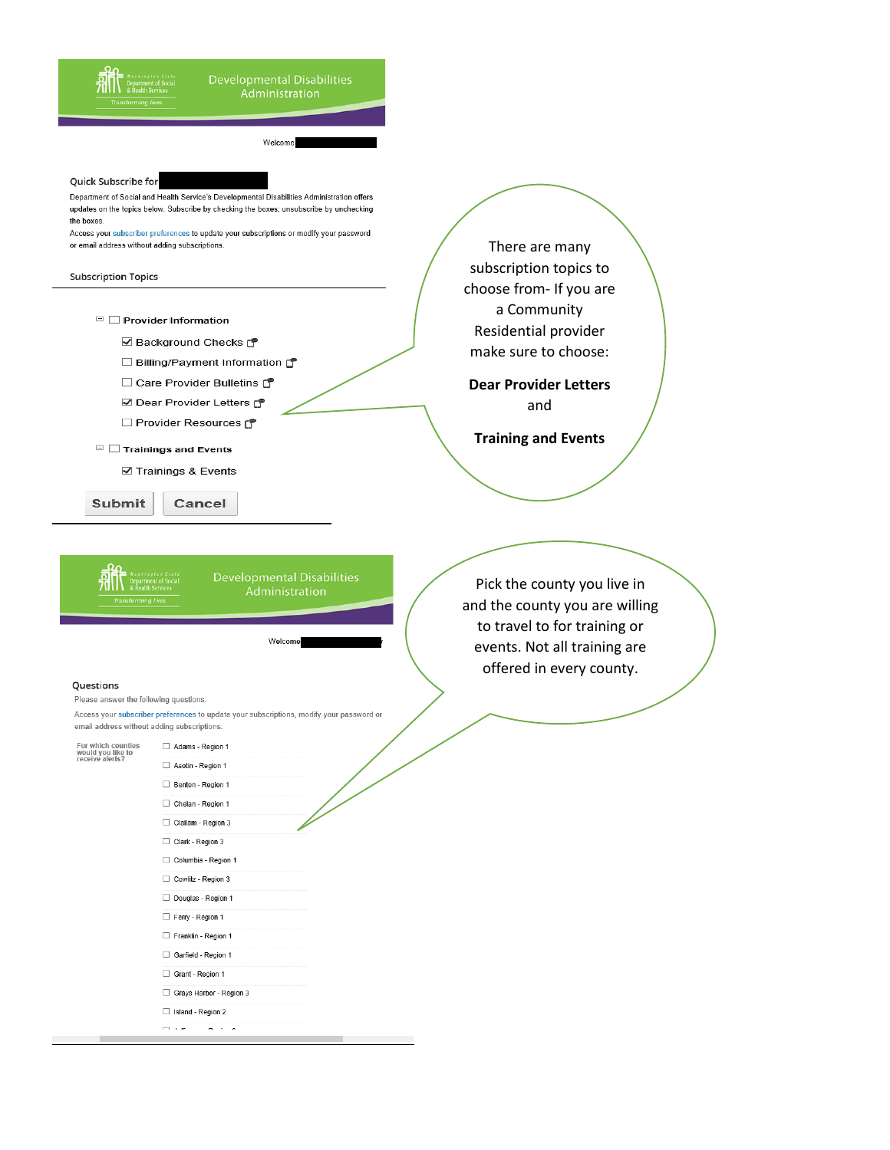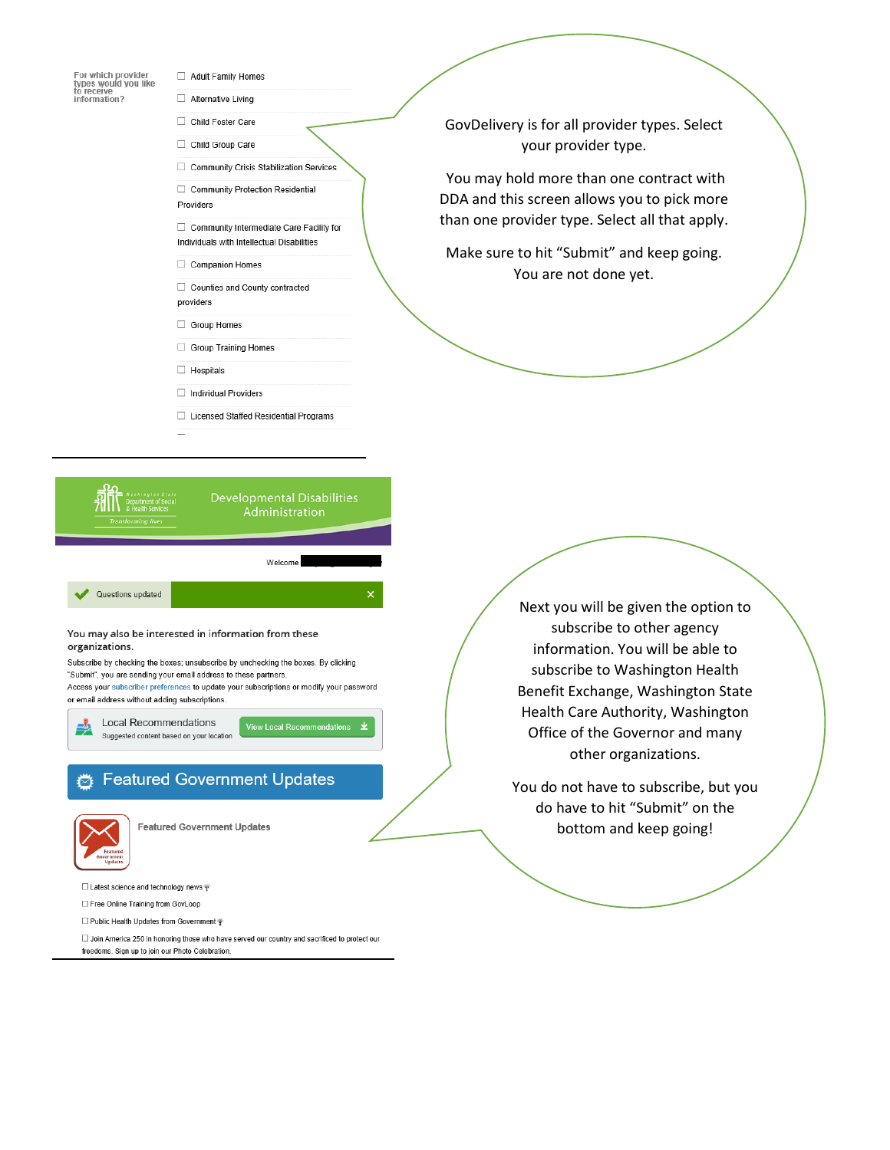

- Adult Family Homes
- □ Alternative Living
- Child Foster Care Child Group Care
- 
- □ Community Crisis Stabilization Services

□ Community Protection Residential Providers

□ Community Intermediate Care Facility for Individuals with Intellectual Disabilities

Companion Homes

 $\Box$  Counties and County contracted providers

- Group Homes
- Group Training Homes

 $\Box$  Hospitals

- Individual Providers
- □ Licensed Staffed Residential Programs
- **Developmental Disabilities** Welcome Questions updated You may also be interested in information from these organizations. Subscribe by checking the boxes; unsubscribe by unchecking the boxes. By clicking "Submit", you are sending your email address to these partners. Access your subscriber preferences to update your subscriptions or modify your password or email address without adding subscriptions. **Local Recommendations View Local Recom** Suggested content based on your location

## Featured Government Updates



**Featured Government Updates** 

□ Latest science and technology news

 $\Box$  Free Online Training from GovLoop

Public Health Updates from Government ?

 $\square$  Join America 250 in honoring those who have served our country and sacrificed to protect our freedoms. Sign up to join our Photo Celebration.

GovDelivery is for all provider types. Select your provider type.

You may hold more than one contract with DDA and this screen allows you to pick more than one provider type. Select all that apply.

Make sure to hit "Submit" and keep going. You are not done yet.

> Next you will be given the option to subscribe to other agency information. You will be able to subscribe to Washington Health Benefit Exchange, Washington State Health Care Authority, Washington Office of the Governor and many other organizations.

You do not have to subscribe, but you do have to hit "Submit" on the bottom and keep going!